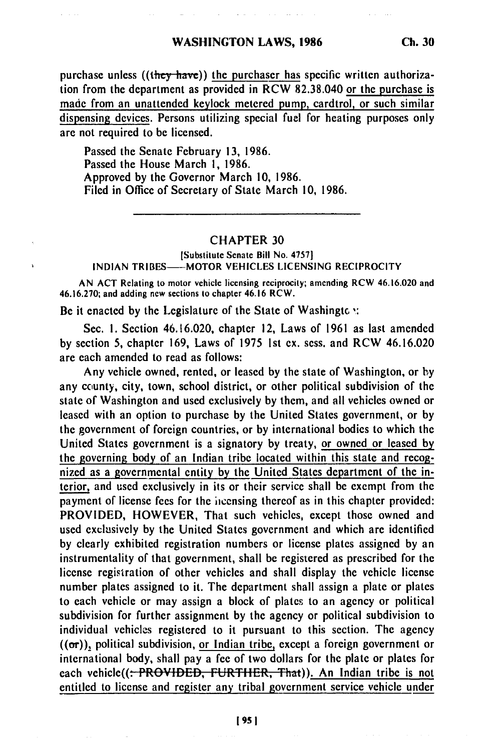purchase unless **((they-have))** the purchaser has specific written authorization from the department as provided in RCW 82.38.040 or the purchase is made from an unattended keylock metered pump, cardtrol, or such similar dispensing devices. Persons utilizing special fuel for heating purposes only are not required to be licensed.

Passed the Senate February 13, 1986. Passed the House March i, 1986. Approved by the Governor March 10, 1986. Filed in Office of Secretary of State March 10, 1986.

## CHAPTER 30

[Substitute Senate Bill No. 4757] INDIAN TRIBES-MOTOR VEHICLES LICENSING RECIPROCITY

AN **ACT** Relating to motor vehicle licensing reciprocity; amending RCW 46.16.020 and 46.16.270; and adding new sections to chapter 46.16 RCW.

Be it enacted by the Legislature of the State of Washingte  $\cdot$ :

Sec. I. Section 46.16.020, chapter 12, Laws of 1961 as last amended by section 5, chapter 169, Laws of 1975 Ist ex. sess. and RCW 46.16.020 are each amended to read as follows:

Any vehicle owned, rented, or leased by the state of Washington, or by any county, city, town, school district, or other political subdivision of the state of Washington and used exclusively by them, and all vehicles owned or leased with an option to purchase by the United States government, or by the government of foreign countries, or by international bodies to which the United States government is a signatory by treaty, or owned or leased by the governing body of an Indian tribe located within this state and recognized as a governmental entity by the United States department of the interior, and used exclusively in its or their service shall be exempt from the payment of license fees for the incensing thereof as in this chapter provided: PROVIDED, HOWEVER, That such vehicles, except those owned and used exclusively by the United States government and which are identified by clearly exhibited registration numbers or license plates assigned by an instrumentality of that government, shall be registered as prescribed for the license registration of other vehicles and shall display the vehicle license number plates assigned to it. The department shall assign a plate or plates to each vehicle or may assign a block of plates to an agency or political subdivision for further assignment by the agency or political subdivision to individual vehicles registered to it pursuant to this section. The agency  $((or))$ , political subdivision, or Indian tribe, except a foreign government or international body, shall pay a fee of two dollars for the plate or plates for each vehicle((<del>: PROVIDED, FURTHER, That</del>)). An Indian tribe is not entitled to license and register any tribal government service vehicle under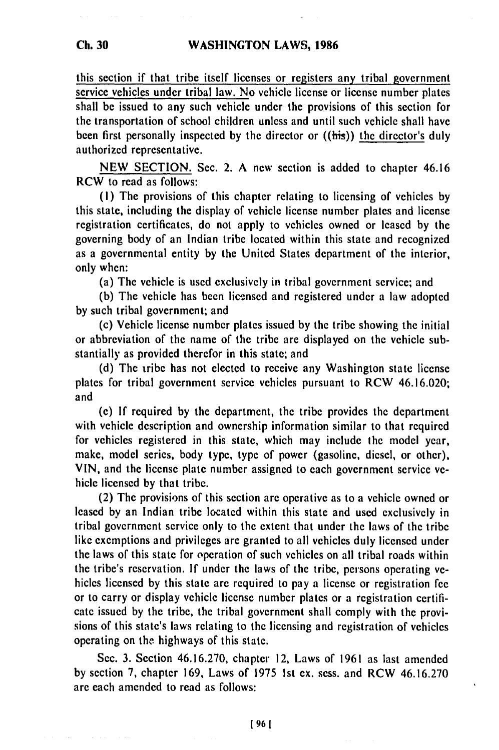this section if that tribe itself licenses or registers any tribal government service vehicles under tribal law. No vehicle license or license number plates shall be issued to any such vehicle under the provisions of this section for the transportation of school children unless and until such vehicle shall have been first personally inspected **by** the director or ((his)) the director's duly authorized representative.

**NEW SECTION.** Sec. 2. **A** new section is added to chapter 46.16 RCW to read as follows:

**(I)** The provisions of this chapter relating to licensing of vehicles **by** this state, including the display of vehicle license number plates and license registration certificates, do not apply to vehicles owned or leased **by** the governing body of an Indian tribe located within this state and recognized as a governmental entity **by** the United States department of the interior, only when:

(a) The vehicle is used exclusively in tribal government service; and

(b) The vehicle has been licensed and registered under a law adopted **by** such tribal government; and

(c) Vehicle license number plates issued **by** the tribe showing the initial or abbreviation of the name of the tribe are displayed on the vehicle substantially as provided therefor in this state; and

**(d)** The iribe has not elected to receive any Washington state license plates for tribal government service vehicles pursuant to RCW 46.16.020; and

**(e) If** required **by** the department, the tribe provides the department with vehicle description and ownership information similar to that required for vehicles registered in this state, which may include the model year, make, model series, body type, type of power (gasoline, diesel, or other), **VIN,** and the license plate number assigned to each government service vehicle licensed **by** that tribe.

(2) The provisions of this section are operative as to a vehicle owned or leased **by** an Indian tribe located within this state and used exclusively in tribal government service only to the extent that under the laws of the tribe like exemptions and privileges **are** granted to all vehicles duly licensed under the laws of this state for operation of such vehicles on all tribal roads within the tribe's reservation. **If** under the laws of the tribe, persons operating vehicles licensed **by** this state are required to pay a license or registration **fee** or to carry or display vehicle license number plates or a registration certificate issued **by** the tribe, the tribal government shall comply with the provisions of this state's laws relating to the licensing and registration of vehicles operating on the highways of this state.

Sec. **3.** Section **46.16.270,** chapter 12, Laws of **1961** as last amended **by** section **7,** chapter **169,** Laws of **1975 Ist ex.** sess. and RCW **46.16.270** are each amended to read as follows: